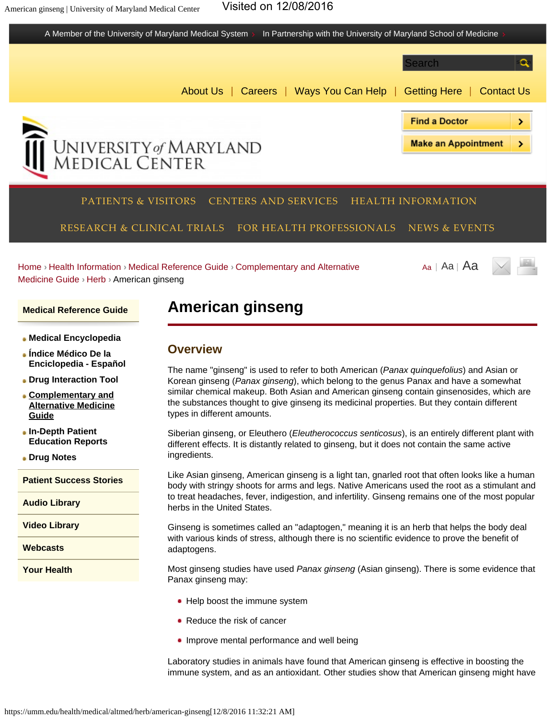



**[Drug Interaction Tool](https://umm.edu/health/medical/drug-interaction-tool)**

- **[Complementary and](https://umm.edu/health/medical/altmed) [Alternative Medicine](https://umm.edu/health/medical/altmed) [Guide](https://umm.edu/health/medical/altmed)**
- **[In-Depth Patient](https://umm.edu/health/medical/reports) [Education Reports](https://umm.edu/health/medical/reports)**

**[Drug Notes](https://umm.edu/health/medical/drug-notes)**

**[Patient Success Stories](https://umm.edu/health/patient-success-stories)**

**[Audio Library](https://umm.edu/health/audio)**

**[Video Library](https://umm.edu/health/video)**

**[Webcasts](https://umm.edu/health/webcasts)**

**[Your Health](https://umm.edu/health/your-health)**

The name "ginseng" is used to refer to both American (*Panax quinquefolius*) and Asian or Korean ginseng (*Panax ginseng*), which belong to the genus Panax and have a somewhat similar chemical makeup. Both Asian and American ginseng contain ginsenosides, which are the substances thought to give ginseng its medicinal properties. But they contain different types in different amounts.

Siberian ginseng, or Eleuthero (*Eleutherococcus senticosus*), is an entirely different plant with different effects. It is distantly related to ginseng, but it does not contain the same active ingredients.

Like Asian ginseng, American ginseng is a light tan, gnarled root that often looks like a human body with stringy shoots for arms and legs. Native Americans used the root as a stimulant and to treat headaches, fever, indigestion, and infertility. Ginseng remains one of the most popular herbs in the United States.

Ginseng is sometimes called an "adaptogen," meaning it is an herb that helps the body deal with various kinds of stress, although there is no scientific evidence to prove the benefit of adaptogens.

Most ginseng studies have used *Panax ginseng* (Asian ginseng). There is some evidence that Panax ginseng may:

- Help boost the immune system
- Reduce the risk of cancer
- Improve mental performance and well being

Laboratory studies in animals have found that American ginseng is effective in boosting the immune system, and as an antioxidant. Other studies show that American ginseng might have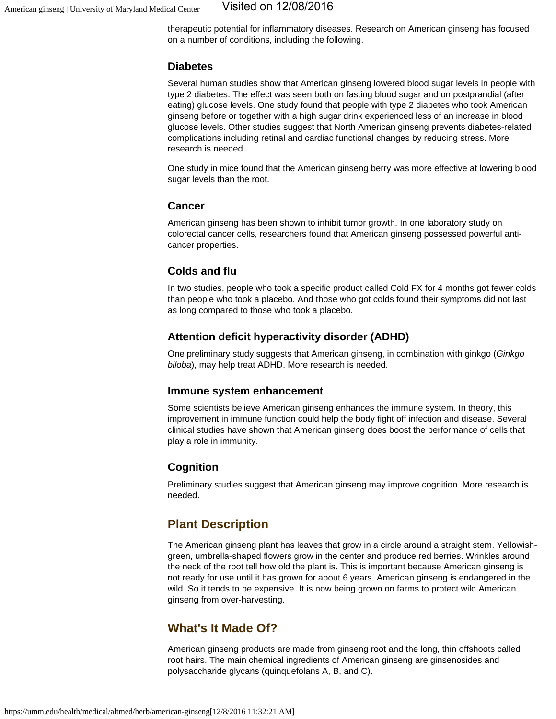therapeutic potential for inflammatory diseases. Research on American ginseng has focused on a number of conditions, including the following.

## **Diabetes**

Several human studies show that American ginseng lowered blood sugar levels in people with type 2 diabetes. The effect was seen both on fasting blood sugar and on postprandial (after eating) glucose levels. One study found that people with type 2 diabetes who took American ginseng before or together with a high sugar drink experienced less of an increase in blood glucose levels. Other studies suggest that North American ginseng prevents diabetes-related complications including retinal and cardiac functional changes by reducing stress. More research is needed.

One study in mice found that the American ginseng berry was more effective at lowering blood sugar levels than the root.

#### **Cancer**

American ginseng has been shown to inhibit tumor growth. In one laboratory study on colorectal cancer cells, researchers found that American ginseng possessed powerful anticancer properties.

## **Colds and flu**

In two studies, people who took a specific product called Cold FX for 4 months got fewer colds than people who took a placebo. And those who got colds found their symptoms did not last as long compared to those who took a placebo.

## **Attention deficit hyperactivity disorder (ADHD)**

One preliminary study suggests that American ginseng, in combination with ginkgo (*Ginkgo biloba*), may help treat ADHD. More research is needed.

#### **Immune system enhancement**

Some scientists believe American ginseng enhances the immune system. In theory, this improvement in immune function could help the body fight off infection and disease. Several clinical studies have shown that American ginseng does boost the performance of cells that play a role in immunity.

## **Cognition**

Preliminary studies suggest that American ginseng may improve cognition. More research is needed.

## **Plant Description**

The American ginseng plant has leaves that grow in a circle around a straight stem. Yellowishgreen, umbrella-shaped flowers grow in the center and produce red berries. Wrinkles around the neck of the root tell how old the plant is. This is important because American ginseng is not ready for use until it has grown for about 6 years. American ginseng is endangered in the wild. So it tends to be expensive. It is now being grown on farms to protect wild American ginseng from over-harvesting.

## **What's It Made Of?**

American ginseng products are made from ginseng root and the long, thin offshoots called root hairs. The main chemical ingredients of American ginseng are ginsenosides and polysaccharide glycans (quinquefolans A, B, and C).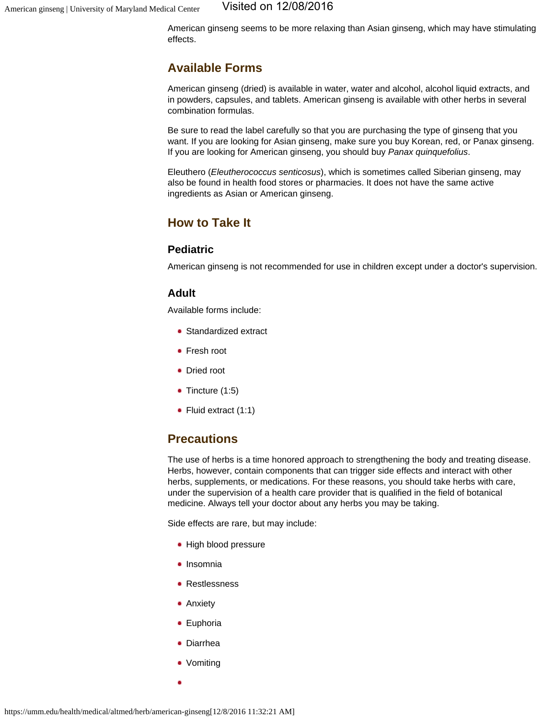American ginseng seems to be more relaxing than Asian ginseng, which may have stimulating effects.

## **Available Forms**

American ginseng (dried) is available in water, water and alcohol, alcohol liquid extracts, and in powders, capsules, and tablets. American ginseng is available with other herbs in several combination formulas.

Be sure to read the label carefully so that you are purchasing the type of ginseng that you want. If you are looking for Asian ginseng, make sure you buy Korean, red, or Panax ginseng. If you are looking for American ginseng, you should buy *Panax quinquefolius*.

Eleuthero (*Eleutherococcus senticosus*), which is sometimes called Siberian ginseng, may also be found in health food stores or pharmacies. It does not have the same active ingredients as Asian or American ginseng.

## **How to Take It**

## **Pediatric**

American ginseng is not recommended for use in children except under a doctor's supervision.

## **Adult**

Available forms include:

- Standardized extract
- Fresh root
- Dried root
- Tincture (1:5)
- Fluid extract (1:1)

## **Precautions**

The use of herbs is a time honored approach to strengthening the body and treating disease. Herbs, however, contain components that can trigger side effects and interact with other herbs, supplements, or medications. For these reasons, you should take herbs with care, under the supervision of a health care provider that is qualified in the field of botanical medicine. Always tell your doctor about any herbs you may be taking.

Side effects are rare, but may include:

- High blood pressure
- Insomnia
- Restlessness
- Anxiety
- **•** Euphoria
- Diarrhea
- Vomiting
-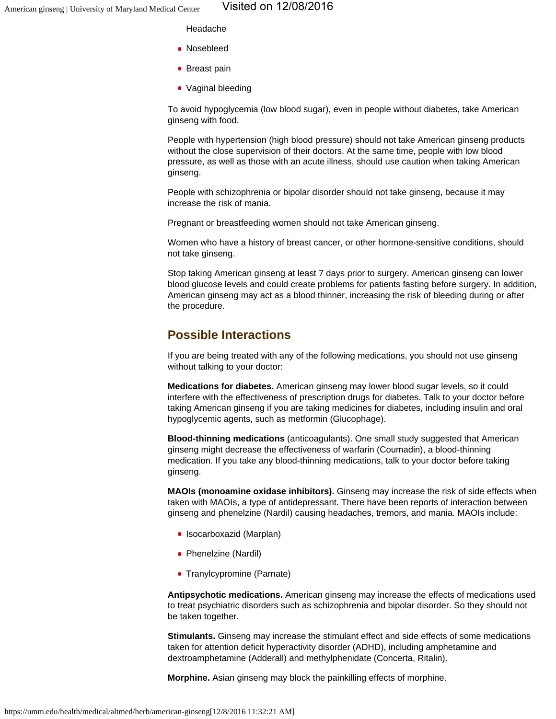Headache

- Nosebleed
- Breast pain
- Vaginal bleeding

To avoid hypoglycemia (low blood sugar), even in people without diabetes, take American ginseng with food.

People with hypertension (high blood pressure) should not take American ginseng products without the close supervision of their doctors. At the same time, people with low blood pressure, as well as those with an acute illness, should use caution when taking American ginseng.

People with schizophrenia or bipolar disorder should not take ginseng, because it may increase the risk of mania.

Pregnant or breastfeeding women should not take American ginseng.

Women who have a history of breast cancer, or other hormone-sensitive conditions, should not take ginseng.

Stop taking American ginseng at least 7 days prior to surgery. American ginseng can lower blood glucose levels and could create problems for patients fasting before surgery. In addition, American ginseng may act as a blood thinner, increasing the risk of bleeding during or after the procedure.

## **Possible Interactions**

If you are being treated with any of the following medications, you should not use ginseng without talking to your doctor:

**Medications for diabetes.** American ginseng may lower blood sugar levels, so it could interfere with the effectiveness of prescription drugs for diabetes. Talk to your doctor before taking American ginseng if you are taking medicines for diabetes, including insulin and oral hypoglycemic agents, such as metformin (Glucophage).

**Blood-thinning medications** (anticoagulants). One small study suggested that American ginseng might decrease the effectiveness of warfarin (Coumadin), a blood-thinning medication. If you take any blood-thinning medications, talk to your doctor before taking ginseng.

**MAOIs (monoamine oxidase inhibitors).** Ginseng may increase the risk of side effects when taken with MAOIs, a type of antidepressant. There have been reports of interaction between ginseng and phenelzine (Nardil) causing headaches, tremors, and mania. MAOIs include:

- Isocarboxazid (Marplan)
- Phenelzine (Nardil)
- Tranylcypromine (Parnate)

**Antipsychotic medications.** American ginseng may increase the effects of medications used to treat psychiatric disorders such as schizophrenia and bipolar disorder. So they should not be taken together.

**Stimulants.** Ginseng may increase the stimulant effect and side effects of some medications taken for attention deficit hyperactivity disorder (ADHD), including amphetamine and dextroamphetamine (Adderall) and methylphenidate (Concerta, Ritalin).

**Morphine.** Asian ginseng may block the painkilling effects of morphine.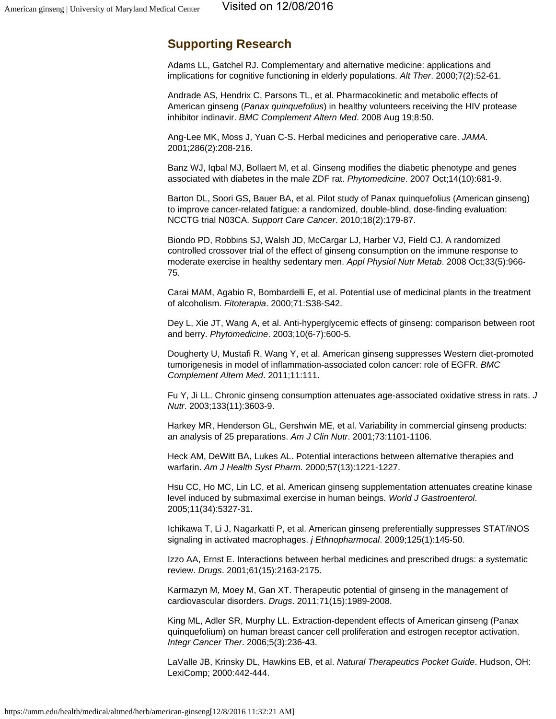## **Supporting Research**

Adams LL, Gatchel RJ. Complementary and alternative medicine: applications and implications for cognitive functioning in elderly populations. *Alt Ther*. 2000;7(2):52-61.

Andrade AS, Hendrix C, Parsons TL, et al. Pharmacokinetic and metabolic effects of American ginseng (*Panax quinquefolius*) in healthy volunteers receiving the HIV protease inhibitor indinavir. *BMC Complement Altern Med*. 2008 Aug 19;8:50.

Ang-Lee MK, Moss J, Yuan C-S. Herbal medicines and perioperative care. *JAMA*. 2001;286(2):208-216.

Banz WJ, Iqbal MJ, Bollaert M, et al. Ginseng modifies the diabetic phenotype and genes associated with diabetes in the male ZDF rat. *Phytomedicine*. 2007 Oct;14(10):681-9.

Barton DL, Soori GS, Bauer BA, et al. Pilot study of Panax quinquefolius (American ginseng) to improve cancer-related fatigue: a randomized, double-blind, dose-finding evaluation: NCCTG trial N03CA. *Support Care Cancer*. 2010;18(2):179-87.

Biondo PD, Robbins SJ, Walsh JD, McCargar LJ, Harber VJ, Field CJ. A randomized controlled crossover trial of the effect of ginseng consumption on the immune response to moderate exercise in healthy sedentary men. *Appl Physiol Nutr Metab*. 2008 Oct;33(5):966- 75.

Carai MAM, Agabio R, Bombardelli E, et al. Potential use of medicinal plants in the treatment of alcoholism. *Fitoterapia*. 2000;71:S38-S42.

Dey L, Xie JT, Wang A, et al. Anti-hyperglycemic effects of ginseng: comparison between root and berry. *Phytomedicine*. 2003;10(6-7):600-5.

Dougherty U, Mustafi R, Wang Y, et al. American ginseng suppresses Western diet-promoted tumorigenesis in model of inflammation-associated colon cancer: role of EGFR. *BMC Complement Altern Med*. 2011;11:111.

Fu Y, Ji LL. Chronic ginseng consumption attenuates age-associated oxidative stress in rats. *J Nutr*. 2003;133(11):3603-9.

Harkey MR, Henderson GL, Gershwin ME, et al. Variability in commercial ginseng products: an analysis of 25 preparations. *Am J Clin Nutr*. 2001;73:1101-1106.

Heck AM, DeWitt BA, Lukes AL. Potential interactions between alternative therapies and warfarin. *Am J Health Syst Pharm*. 2000;57(13):1221-1227.

Hsu CC, Ho MC, Lin LC, et al. American ginseng supplementation attenuates creatine kinase level induced by submaximal exercise in human beings. *World J Gastroenterol*. 2005;11(34):5327-31.

Ichikawa T, Li J, Nagarkatti P, et al. American ginseng preferentially suppresses STAT/iNOS signaling in activated macrophages. *j Ethnopharmocal*. 2009;125(1):145-50.

Izzo AA, Ernst E. Interactions between herbal medicines and prescribed drugs: a systematic review. *Drugs*. 2001;61(15):2163-2175.

Karmazyn M, Moey M, Gan XT. Therapeutic potential of ginseng in the management of cardiovascular disorders. *Drugs*. 2011;71(15):1989-2008.

King ML, Adler SR, Murphy LL. Extraction-dependent effects of American ginseng (Panax quinquefolium) on human breast cancer cell proliferation and estrogen receptor activation. *Integr Cancer Ther*. 2006;5(3):236-43.

LaValle JB, Krinsky DL, Hawkins EB, et al. *Natural Therapeutics Pocket Guide*. Hudson, OH: LexiComp; 2000:442-444.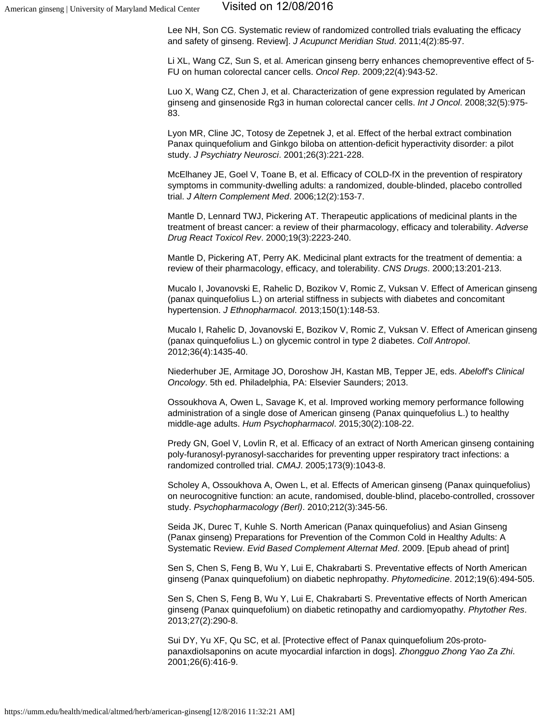Lee NH, Son CG. Systematic review of randomized controlled trials evaluating the efficacy and safety of ginseng. Review]. *J Acupunct Meridian Stud*. 2011;4(2):85-97.

Li XL, Wang CZ, Sun S, et al. American ginseng berry enhances chemopreventive effect of 5- FU on human colorectal cancer cells. *Oncol Rep*. 2009;22(4):943-52.

Luo X, Wang CZ, Chen J, et al. Characterization of gene expression regulated by American ginseng and ginsenoside Rg3 in human colorectal cancer cells. *Int J Oncol*. 2008;32(5):975- 83.

Lyon MR, Cline JC, Totosy de Zepetnek J, et al. Effect of the herbal extract combination Panax quinquefolium and Ginkgo biloba on attention-deficit hyperactivity disorder: a pilot study. *J Psychiatry Neurosci*. 2001;26(3):221-228.

McElhaney JE, Goel V, Toane B, et al. Efficacy of COLD-fX in the prevention of respiratory symptoms in community-dwelling adults: a randomized, double-blinded, placebo controlled trial. *J Altern Complement Med*. 2006;12(2):153-7.

Mantle D, Lennard TWJ, Pickering AT. Therapeutic applications of medicinal plants in the treatment of breast cancer: a review of their pharmacology, efficacy and tolerability. *Adverse Drug React Toxicol Rev*. 2000;19(3):2223-240.

Mantle D, Pickering AT, Perry AK. Medicinal plant extracts for the treatment of dementia: a review of their pharmacology, efficacy, and tolerability. *CNS Drugs*. 2000;13:201-213.

Mucalo I, Jovanovski E, Rahelic D, Bozikov V, Romic Z, Vuksan V. Effect of American ginseng (panax quinquefolius L.) on arterial stiffness in subjects with diabetes and concomitant hypertension. *J Ethnopharmacol*. 2013;150(1):148-53.

Mucalo I, Rahelic D, Jovanovski E, Bozikov V, Romic Z, Vuksan V. Effect of American ginseng (panax quinquefolius L.) on glycemic control in type 2 diabetes. *Coll Antropol*. 2012;36(4):1435-40.

Niederhuber JE, Armitage JO, Doroshow JH, Kastan MB, Tepper JE, eds. *Abeloff's Clinical Oncology*. 5th ed. Philadelphia, PA: Elsevier Saunders; 2013.

Ossoukhova A, Owen L, Savage K, et al. Improved working memory performance following administration of a single dose of American ginseng (Panax quinquefolius L.) to healthy middle-age adults. *Hum Psychopharmacol*. 2015;30(2):108-22.

Predy GN, Goel V, Lovlin R, et al. Efficacy of an extract of North American ginseng containing poly-furanosyl-pyranosyl-saccharides for preventing upper respiratory tract infections: a randomized controlled trial. *CMAJ*. 2005;173(9):1043-8.

Scholey A, Ossoukhova A, Owen L, et al. Effects of American ginseng (Panax quinquefolius) on neurocognitive function: an acute, randomised, double-blind, placebo-controlled, crossover study. *Psychopharmacology (Berl)*. 2010;212(3):345-56.

Seida JK, Durec T, Kuhle S. North American (Panax quinquefolius) and Asian Ginseng (Panax ginseng) Preparations for Prevention of the Common Cold in Healthy Adults: A Systematic Review. *Evid Based Complement Alternat Med*. 2009. [Epub ahead of print]

Sen S, Chen S, Feng B, Wu Y, Lui E, Chakrabarti S. Preventative effects of North American ginseng (Panax quinquefolium) on diabetic nephropathy. *Phytomedicine*. 2012;19(6):494-505.

Sen S, Chen S, Feng B, Wu Y, Lui E, Chakrabarti S. Preventative effects of North American ginseng (Panax quinquefolium) on diabetic retinopathy and cardiomyopathy. *Phytother Res*. 2013;27(2):290-8.

Sui DY, Yu XF, Qu SC, et al. [Protective effect of Panax quinquefolium 20s-protopanaxdiolsaponins on acute myocardial infarction in dogs]. *Zhongguo Zhong Yao Za Zhi*. 2001;26(6):416-9.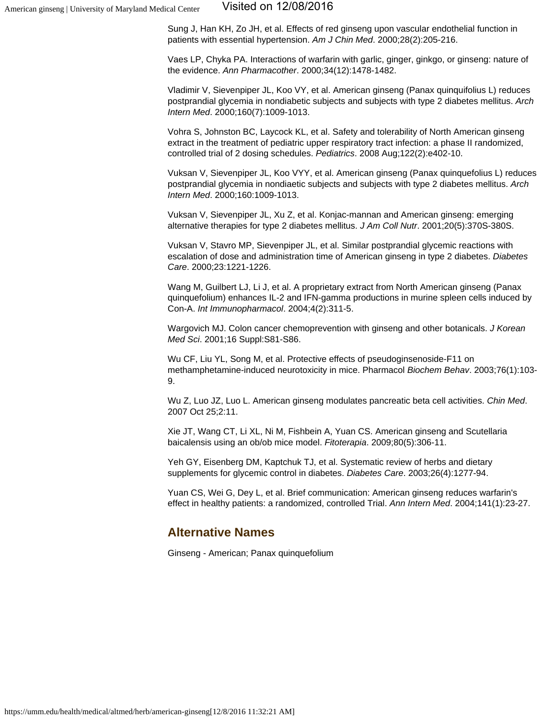#### American ginseng | University of Maryland Medical Center Visited on 12/08/2016

Sung J, Han KH, Zo JH, et al. Effects of red ginseng upon vascular endothelial function in patients with essential hypertension. *Am J Chin Med*. 2000;28(2):205-216.

Vaes LP, Chyka PA. Interactions of warfarin with garlic, ginger, ginkgo, or ginseng: nature of the evidence. *Ann Pharmacother*. 2000;34(12):1478-1482.

Vladimir V, Sievenpiper JL, Koo VY, et al. American ginseng (Panax quinquifolius L) reduces postprandial glycemia in nondiabetic subjects and subjects with type 2 diabetes mellitus. *Arch Intern Med*. 2000;160(7):1009-1013.

Vohra S, Johnston BC, Laycock KL, et al. Safety and tolerability of North American ginseng extract in the treatment of pediatric upper respiratory tract infection: a phase II randomized, controlled trial of 2 dosing schedules. *Pediatrics*. 2008 Aug;122(2):e402-10.

Vuksan V, Sievenpiper JL, Koo VYY, et al. American ginseng (Panax quinquefolius L) reduces postprandial glycemia in nondiaetic subjects and subjects with type 2 diabetes mellitus. *Arch Intern Med*. 2000;160:1009-1013.

Vuksan V, Sievenpiper JL, Xu Z, et al. Konjac-mannan and American ginseng: emerging alternative therapies for type 2 diabetes mellitus. *J Am Coll Nutr*. 2001;20(5):370S-380S.

Vuksan V, Stavro MP, Sievenpiper JL, et al. Similar postprandial glycemic reactions with escalation of dose and administration time of American ginseng in type 2 diabetes. *Diabetes Care*. 2000;23:1221-1226.

Wang M, Guilbert LJ, Li J, et al. A proprietary extract from North American ginseng (Panax quinquefolium) enhances IL-2 and IFN-gamma productions in murine spleen cells induced by Con-A. *Int Immunopharmacol*. 2004;4(2):311-5.

Wargovich MJ. Colon cancer chemoprevention with ginseng and other botanicals. *J Korean Med Sci*. 2001;16 Suppl:S81-S86.

Wu CF, Liu YL, Song M, et al. Protective effects of pseudoginsenoside-F11 on methamphetamine-induced neurotoxicity in mice. Pharmacol *Biochem Behav*. 2003;76(1):103- 9.

Wu Z, Luo JZ, Luo L. American ginseng modulates pancreatic beta cell activities. *Chin Med*. 2007 Oct 25;2:11.

Xie JT, Wang CT, Li XL, Ni M, Fishbein A, Yuan CS. American ginseng and Scutellaria baicalensis using an ob/ob mice model. *Fitoterapia*. 2009;80(5):306-11.

Yeh GY, Eisenberg DM, Kaptchuk TJ, et al. Systematic review of herbs and dietary supplements for glycemic control in diabetes. *Diabetes Care*. 2003;26(4):1277-94.

Yuan CS, Wei G, Dey L, et al. Brief communication: American ginseng reduces warfarin's effect in healthy patients: a randomized, controlled Trial. *Ann Intern Med*. 2004;141(1):23-27.

## **Alternative Names**

Ginseng - American; Panax quinquefolium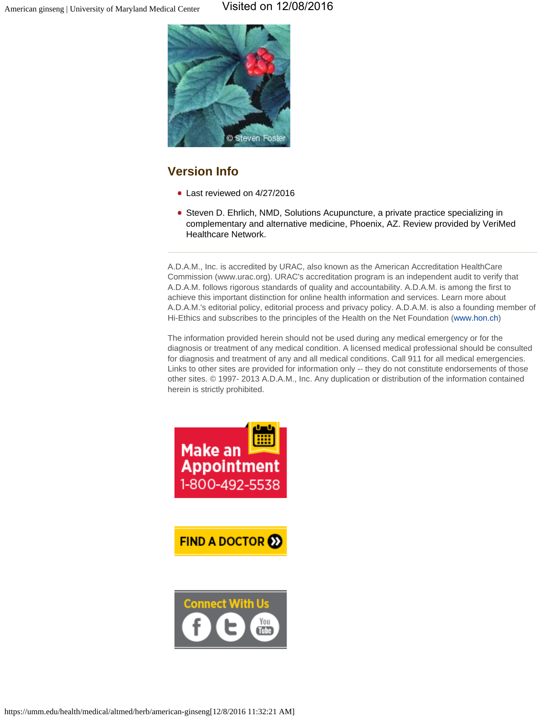

# **Version Info**

- Last reviewed on 4/27/2016
- Steven D. Ehrlich, NMD, Solutions Acupuncture, a private practice specializing in complementary and alternative medicine, Phoenix, AZ. Review provided by VeriMed Healthcare Network.

A.D.A.M., Inc. is accredited by URAC, also known as the American Accreditation HealthCare Commission (www.urac.org). URAC's accreditation program is an independent audit to verify that A.D.A.M. follows rigorous standards of quality and accountability. A.D.A.M. is among the first to achieve this important distinction for online health information and services. Learn more about A.D.A.M.'s editorial policy, editorial process and privacy policy. A.D.A.M. is also a founding member of Hi-Ethics and subscribes to the principles of the Health on the Net Foundation ([www.hon.ch\)](http://www.hon.ch/)

The information provided herein should not be used during any medical emergency or for the diagnosis or treatment of any medical condition. A licensed medical professional should be consulted for diagnosis and treatment of any and all medical conditions. Call 911 for all medical emergencies. Links to other sites are provided for information only -- they do not constitute endorsements of those other sites. © 1997- 2013 A.D.A.M., Inc. Any duplication or distribution of the information contained herein is strictly prohibited.



**FIND A DOCTOR 22** 

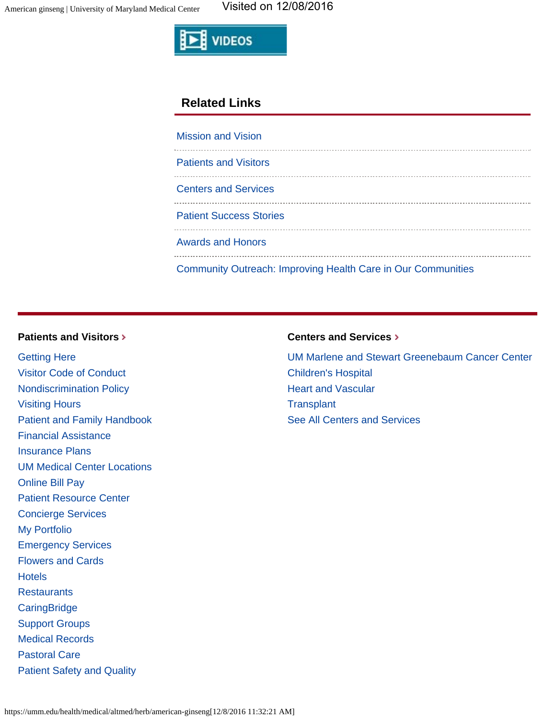

## **Related Links**

| <b>Mission and Vision</b>                                           |
|---------------------------------------------------------------------|
| <b>Patients and Visitors</b>                                        |
| <b>Centers and Services</b>                                         |
| <b>Patient Success Stories</b>                                      |
| <b>Awards and Honors</b>                                            |
| <b>Community Outreach: Improving Health Care in Our Communities</b> |

## **[Patients and Visitors](https://umm.edu/patients)**

[Getting Here](https://umm.edu/patients/gettinghere) [Visitor Code of Conduct](https://umm.edu/patients/visitor-code-of-conduct) [Nondiscrimination Policy](https://umm.edu/~/media/umm/pdfs/patients-and-visitors/nondiscrimination-policy/nondiscrimination-poster-ummc_11x14_outlines.pdf) [Visiting Hours](https://umm.edu/patients/visiting-hours) [Patient and Family Handbook](https://umm.edu/patients/patient-and-family-handbook) [Financial Assistance](https://umm.edu/patients/financial-assistance) [Insurance Plans](https://umm.edu/patients/insurance-plans) [UM Medical Center Locations](https://umm.edu/patients/map) [Online Bill Pay](https://umm.edu/patients/online-bill-pay) [Patient Resource Center](https://umm.edu/patients/resource-center) [Concierge Services](https://umm.edu/patients/concierge-services) [My Portfolio](https://umm.edu/patients/my-portfolio) [Emergency Services](https://umm.edu/patients/emergency) [Flowers and Cards](https://umm.edu/patients/flowers-and-cards) **[Hotels](https://umm.edu/patients/hotels) [Restaurants](https://umm.edu/patients/restaurants) [CaringBridge](https://umm.edu/patients/caringbridge)** [Support Groups](https://umm.edu/patients/support-groups) [Medical Records](https://umm.edu/patients/medical-records) [Pastoral Care](https://umm.edu/patients/pastoral) [Patient Safety and Quality](https://umm.edu/patients/patient-safety)

#### **[Centers and Services](https://umm.edu/programs)**

[UM Marlene and Stewart Greenebaum Cancer Center](https://umm.edu/programs/cancer) [Children's Hospital](https://umm.edu/programs/childrens) [Heart and Vascular](https://umm.edu/programs/heart-and-vascular) **[Transplant](https://umm.edu/programs/transplant)** [See All Centers and Services](https://umm.edu/programs)